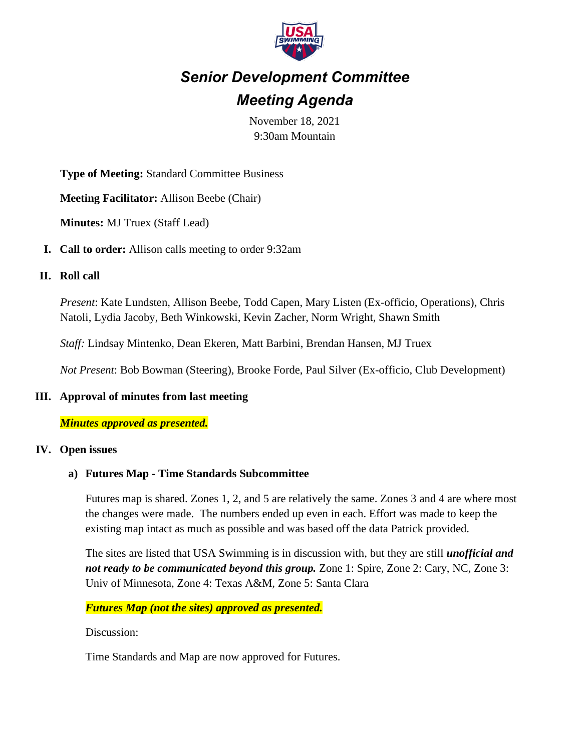

# *Senior Development Committee Meeting Agenda*

November 18, 2021 9:30am Mountain

**Type of Meeting:** Standard Committee Business

**Meeting Facilitator:** Allison Beebe (Chair)

**Minutes:** MJ Truex (Staff Lead)

**I. Call to order:** Allison calls meeting to order 9:32am

#### **II. Roll call**

*Present*: Kate Lundsten, Allison Beebe, Todd Capen, Mary Listen (Ex-officio, Operations), Chris Natoli, Lydia Jacoby, Beth Winkowski, Kevin Zacher, Norm Wright, Shawn Smith

*Staff:* Lindsay Mintenko, Dean Ekeren, Matt Barbini, Brendan Hansen, MJ Truex

*Not Present*: Bob Bowman (Steering), Brooke Forde, Paul Silver (Ex-officio, Club Development)

#### **III. Approval of minutes from last meeting**

#### *Minutes approved as presented.*

#### **IV. Open issues**

#### **a) Futures Map - Time Standards Subcommittee**

Futures map is shared. Zones 1, 2, and 5 are relatively the same. Zones 3 and 4 are where most the changes were made. The numbers ended up even in each. Effort was made to keep the existing map intact as much as possible and was based off the data Patrick provided.

The sites are listed that USA Swimming is in discussion with, but they are still *unofficial and not ready to be communicated beyond this group.* Zone 1: Spire, Zone 2: Cary, NC, Zone 3: Univ of Minnesota, Zone 4: Texas A&M, Zone 5: Santa Clara

*Futures Map (not the sites) approved as presented.*

Discussion:

Time Standards and Map are now approved for Futures.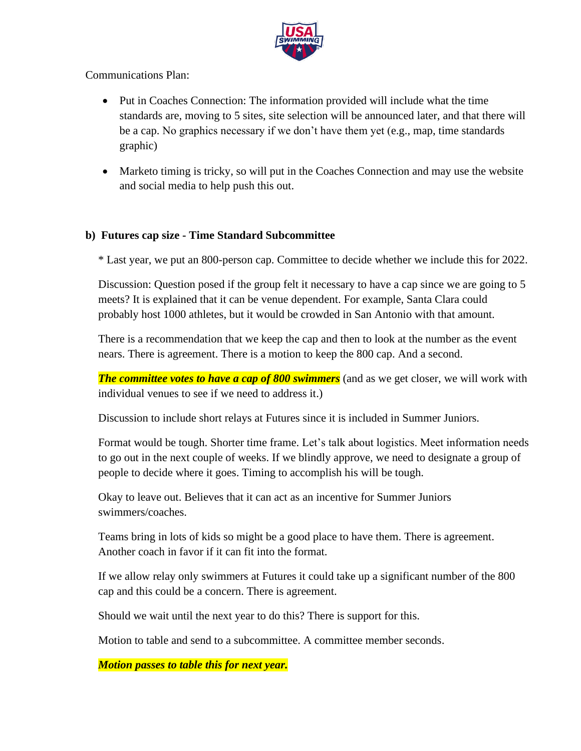

## Communications Plan:

- Put in Coaches Connection: The information provided will include what the time standards are, moving to 5 sites, site selection will be announced later, and that there will be a cap. No graphics necessary if we don't have them yet (e.g., map, time standards graphic)
- Marketo timing is tricky, so will put in the Coaches Connection and may use the website and social media to help push this out.

## **b) Futures cap size - Time Standard Subcommittee**

\* Last year, we put an 800-person cap. Committee to decide whether we include this for 2022.

Discussion: Question posed if the group felt it necessary to have a cap since we are going to 5 meets? It is explained that it can be venue dependent. For example, Santa Clara could probably host 1000 athletes, but it would be crowded in San Antonio with that amount.

There is a recommendation that we keep the cap and then to look at the number as the event nears. There is agreement. There is a motion to keep the 800 cap. And a second.

*The committee votes to have a cap of 800 swimmers* (and as we get closer, we will work with individual venues to see if we need to address it.)

Discussion to include short relays at Futures since it is included in Summer Juniors.

Format would be tough. Shorter time frame. Let's talk about logistics. Meet information needs to go out in the next couple of weeks. If we blindly approve, we need to designate a group of people to decide where it goes. Timing to accomplish his will be tough.

Okay to leave out. Believes that it can act as an incentive for Summer Juniors swimmers/coaches.

Teams bring in lots of kids so might be a good place to have them. There is agreement. Another coach in favor if it can fit into the format.

If we allow relay only swimmers at Futures it could take up a significant number of the 800 cap and this could be a concern. There is agreement.

Should we wait until the next year to do this? There is support for this.

Motion to table and send to a subcommittee. A committee member seconds.

*Motion passes to table this for next year.*